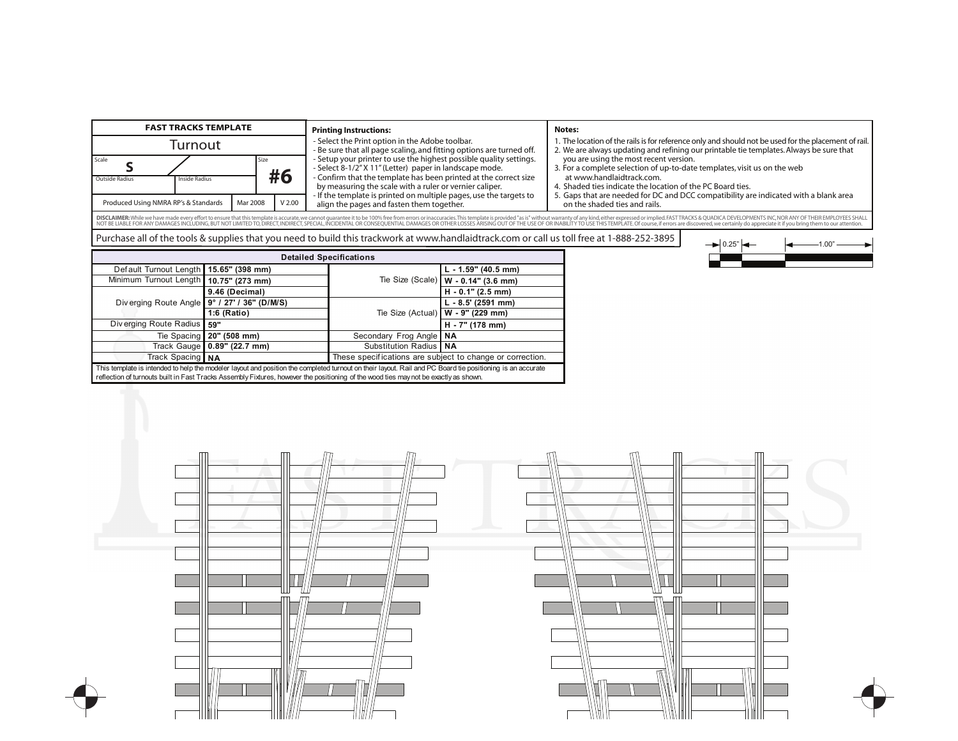

DISCLAMBEWhile we have made every effort to ensure that this template is accurate we cannot quantee it to be 10% free from errors or inaccuracts.This template is provided as if without warrany of any kind our attention. NO

Purchase all of the tools & supplies that you need to build this trackwork at www.handlaidtrack.com or call us toll free at 1-888-252-3895

| <b>Detailed Specifications</b>                                                                                                                                                                                                                                                                    |                                 |                                                           |                                           |
|---------------------------------------------------------------------------------------------------------------------------------------------------------------------------------------------------------------------------------------------------------------------------------------------------|---------------------------------|-----------------------------------------------------------|-------------------------------------------|
| Default Turnout Length   15.65" (398 mm)                                                                                                                                                                                                                                                          |                                 |                                                           | $L - 1.59$ " (40.5 mm)                    |
| Minimum Turnout Length   10.75" (273 mm)                                                                                                                                                                                                                                                          |                                 |                                                           | Tie Size (Scale)   $W - 0.14$ " (3.6 mm)  |
| Diverging Route Angle                                                                                                                                                                                                                                                                             | 9.46 (Decimal)                  |                                                           | $H - 0.1$ " (2.5 mm)                      |
|                                                                                                                                                                                                                                                                                                   | $9^{\circ}$ / 27' / 36" (D/M/S) |                                                           | $L - 8.5'$ (2591 mm)                      |
|                                                                                                                                                                                                                                                                                                   | 1:6 (Ratio)                     |                                                           | Tie Size (Actual) $\vert W - 9"$ (229 mm) |
| Diverging Route Radius                                                                                                                                                                                                                                                                            | 59"                             |                                                           | H - 7" (178 mm)                           |
| Tie Spacing                                                                                                                                                                                                                                                                                       | 20" (508 mm)                    | Secondary Frog Angle   NA                                 |                                           |
|                                                                                                                                                                                                                                                                                                   | Track Gauge   0.89" (22.7 mm)   | Substitution Radius   NA                                  |                                           |
| Track Spacing   NA                                                                                                                                                                                                                                                                                |                                 | These specifications are subject to change or correction. |                                           |
| This template is intended to help the modeler layout and position the completed turnout on their layout. Rail and PC Board tie positioning is an accurate<br>reflection of turnouts built in Fast Tracks Assembly Fixtures, however the positioning of the wood ties may not be exactly as shown. |                                 |                                                           |                                           |





 $0.25"$   $\leftarrow$   $\leftarrow$   $1.00"$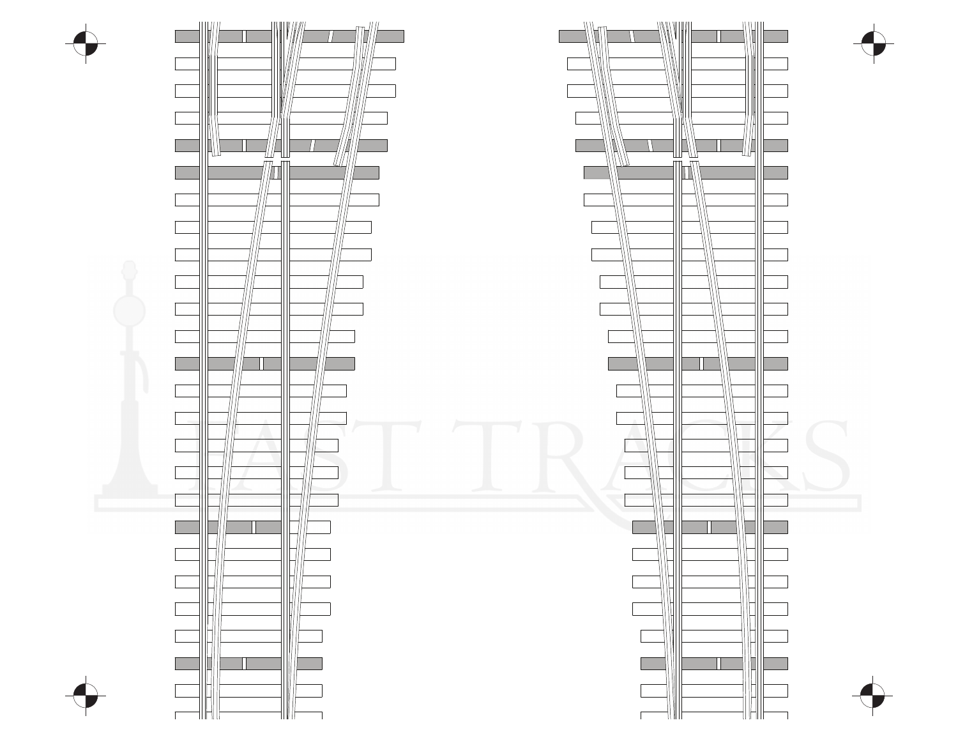